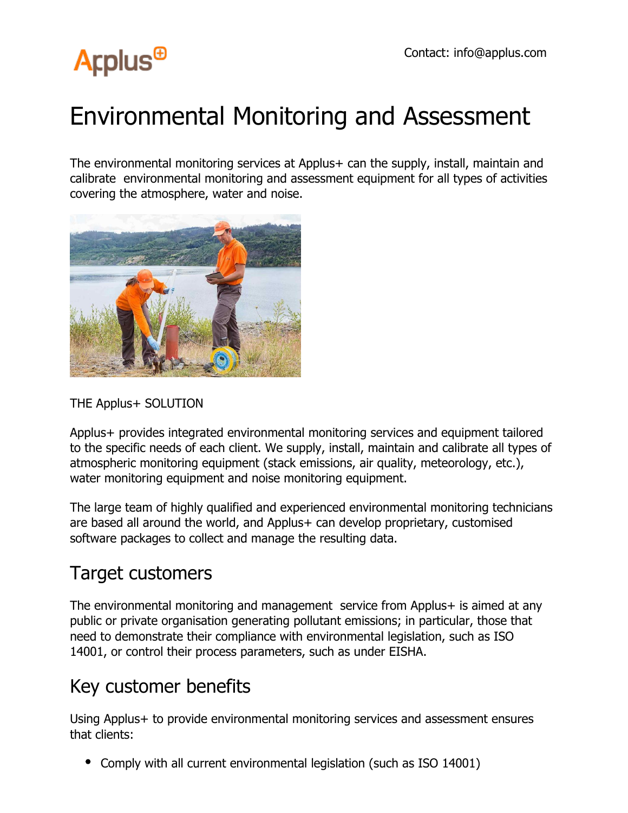

## Environmental Monitoring and Assessment

The environmental monitoring services at Applus+ can the supply, install, maintain and calibrate environmental monitoring and assessment equipment for all types of activities covering the atmosphere, water and noise.



## THE Applus+ SOLUTION

Applus+ provides integrated environmental monitoring services and equipment tailored to the specific needs of each client. We supply, install, maintain and calibrate all types of atmospheric monitoring equipment (stack emissions, air quality, meteorology, etc.), water monitoring equipment and noise monitoring equipment.

The large team of highly qualified and experienced environmental monitoring technicians are based all around the world, and Applus+ can develop proprietary, customised software packages to collect and manage the resulting data.

## Target customers

The environmental monitoring and management service from Applus+ is aimed at any public or private organisation generating pollutant emissions; in particular, those that need to demonstrate their compliance with environmental legislation, such as ISO 14001, or control their process parameters, such as under EISHA.

## Key customer benefits

Using Applus+ to provide environmental monitoring services and assessment ensures that clients:

Comply with all current environmental legislation (such as ISO 14001)